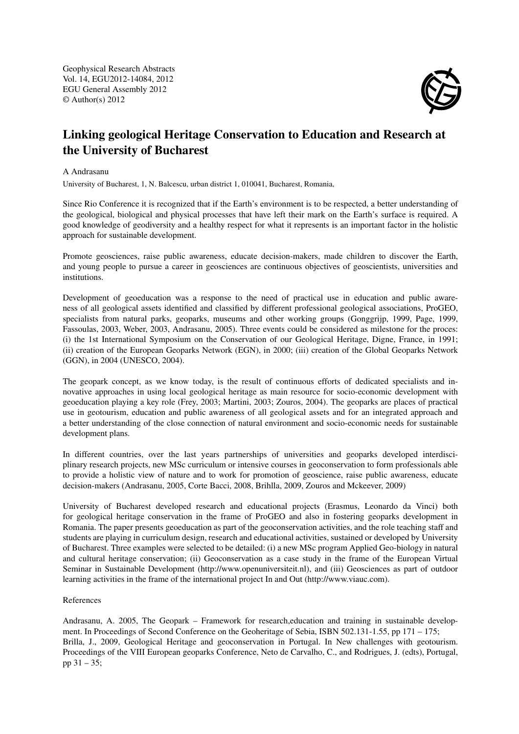Geophysical Research Abstracts Vol. 14, EGU2012-14084, 2012 EGU General Assembly 2012 © Author(s) 2012



## Linking geological Heritage Conservation to Education and Research at the University of Bucharest

## A Andrasanu

University of Bucharest, 1, N. Balcescu, urban district 1, 010041, Bucharest, Romania,

Since Rio Conference it is recognized that if the Earth's environment is to be respected, a better understanding of the geological, biological and physical processes that have left their mark on the Earth's surface is required. A good knowledge of geodiversity and a healthy respect for what it represents is an important factor in the holistic approach for sustainable development.

Promote geosciences, raise public awareness, educate decision-makers, made children to discover the Earth, and young people to pursue a career in geosciences are continuous objectives of geoscientists, universities and institutions.

Development of geoeducation was a response to the need of practical use in education and public awareness of all geological assets identified and classified by different professional geological associations, ProGEO, specialists from natural parks, geoparks, museums and other working groups (Gonggrijp, 1999, Page, 1999, Fassoulas, 2003, Weber, 2003, Andrasanu, 2005). Three events could be considered as milestone for the proces: (i) the 1st International Symposium on the Conservation of our Geological Heritage, Digne, France, in 1991; (ii) creation of the European Geoparks Network (EGN), in 2000; (iii) creation of the Global Geoparks Network (GGN), in 2004 (UNESCO, 2004).

The geopark concept, as we know today, is the result of continuous efforts of dedicated specialists and innovative approaches in using local geological heritage as main resource for socio-economic development with geoeducation playing a key role (Frey, 2003; Martini, 2003; Zouros, 2004). The geoparks are places of practical use in geotourism, education and public awareness of all geological assets and for an integrated approach and a better understanding of the close connection of natural environment and socio-economic needs for sustainable development plans.

In different countries, over the last years partnerships of universities and geoparks developed interdisciplinary research projects, new MSc curriculum or intensive courses in geoconservation to form professionals able to provide a holistic view of nature and to work for promotion of geoscience, raise public awareness, educate decision-makers (Andrasanu, 2005, Corte Bacci, 2008, Brihlla, 2009, Zouros and Mckeever, 2009)

University of Bucharest developed research and educational projects (Erasmus, Leonardo da Vinci) both for geological heritage conservation in the frame of ProGEO and also in fostering geoparks development in Romania. The paper presents geoeducation as part of the geoconservation activities, and the role teaching staff and students are playing in curriculum design, research and educational activities, sustained or developed by University of Bucharest. Three examples were selected to be detailed: (i) a new MSc program Applied Geo-biology in natural and cultural heritage conservation; (ii) Geoconservation as a case study in the frame of the European Virtual Seminar in Sustainable Development (http://www.openuniversiteit.nl), and (iii) Geosciences as part of outdoor learning activities in the frame of the international project In and Out (http://www.viauc.com).

## References

Andrasanu, A. 2005, The Geopark – Framework for research,education and training in sustainable development. In Proceedings of Second Conference on the Geoheritage of Sebia, ISBN 502.131-1.55, pp 171 – 175; Brilla, J., 2009, Geological Heritage and geoconservation in Portugal. In New challenges with geotourism. Proceedings of the VIII European geoparks Conference, Neto de Carvalho, C., and Rodrigues, J. (edts), Portugal, pp 31 – 35;